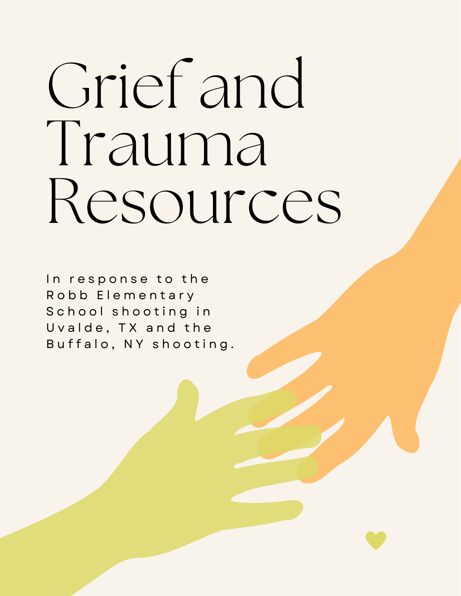# Grief and Trauma Resources

In response to the Robb Elementary School shooting in Uvalde, TX and the Buffalo, NY shooting.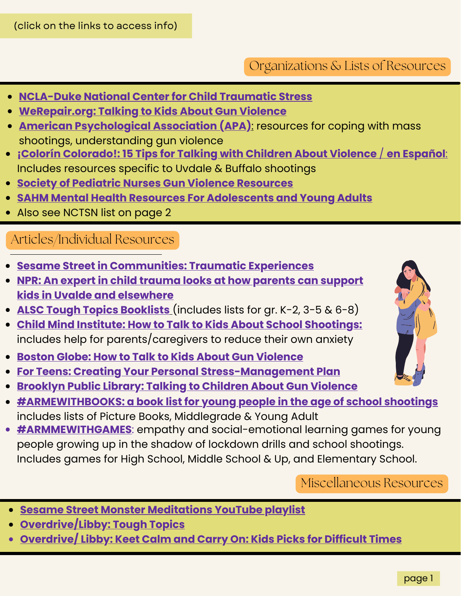(click on the links to access info)

#### Organizations & Lists of Resources

- **[NCLA-Duke](https://www.nctsn.org/) National Center for Child Traumatic Stress**
- **[WeRepair.org:](https://werepair.org/wp-content/uploads/2018/11/Talking-to-Kids-about-Gun-Violence.pdf) Talking to Kids About Gun Violence**
- **American [Psychological](https://www.apa.org/topics/gun-violence-crime/mass-shooting-resources) Association (APA)**: resources for coping with mass shootings, understanding gun violence
- **¡Colorín [Colorado!:](https://www.colorincolorado.org/article/15-tips-talking-children-about-school-violence) 15 Tips for Talking with Children About Violence** / **en [Español](https://www.colorincolorado.org/es/articulo/15-consejos-para-hablar-con-sus-hijos-sobre-la-violencia-escolar)**: Includes resources specific to Uvdale & Buffalo shootings
- **Society of Pediatric Nurses Gun Violence [Resources](http://www.pedsnurses.org/page/gun-violence)**
- **SAHM Mental Health Resources For [Adolescents](https://www.adolescenthealth.org/Resources/Clinical-Care-Resources/Mental-Health/Mental-Health-Resources-For-Adolesc.aspx) and Young Adults**
- Also see NCTSN list on page 2

#### Articles/Individual Resources

- **Sesame Street in [Communities:](https://sesamestreetincommunities.org/topics/traumatic-experiences/) Traumatic Experiences**
- **NPR: An expert in child trauma looks at how parents can support kids in Uvalde and [elsewhere](https://www.npr.org/live-updates/uvalde-texas-school-shooting-05-25-2022#an-expert-in-child-trauma-looks-at-how-parents-can-support-kids-in-uvalde-and-elsewhere)**
- **ALSC Tough Topics [Booklists](https://www.ala.org/alsc/publications-resources/book-lists/toughtopics2019)** (includes lists for gr. K-2, 3-5 & 6-8)
- **Child Mind Institute: How to Talk to Kids About School [Shootings:](https://childmind.org/article/anxiety-school-shooting/)** includes help for parents/caregivers to reduce their own anxiety
- **Boston Globe: How to Talk to Kids About Gun [Violence](https://www.bostonglobe.com/2022/05/25/lifestyle/how-talk-kids-about-gun-violence/)**
- **For Teens: Creating Your Personal [Stress-Management](https://www.healthychildren.org/English/healthy-living/emotional-wellness/Building-Resilience/Pages/For-Teens-Creating-Your-Personal-Stress-Management-Plan.aspx) Plan**
- **[Brooklyn](https://www.bklynlibrary.org/blog/2022/05/25/talking-about-gun) Public Library: Talking to Children About Gun Violence**
- **[#ARMEWITHBOOKS:](https://static1.squarespace.com/static/5be9b4aca2772c09d1c1d6ee/t/5c65a0dbe4966b71e8fee2e2/1550164212416/#ARMMEWITHBOOKS.pdf) a book list for young people in the age of school shootings** includes lists of Picture Books, Middlegrade & Young Adult
- **[#ARMMEWITHGAMES](https://static1.squarespace.com/static/5be9b4aca2772c09d1c1d6ee/t/5c633f9615fcc055fd8e8f83/1550008215459/%23ArmMeWithGames.pdf)**: empathy and social-emotional learning games for young people growing up in the shadow of lockdown drills and school shootings. Includes games for High School, Middle School & Up, and Elementary School.

Miscellaneous Resources

- **Sesame Street Monster [Meditations](https://www.youtube.com/watch?v=3EKPfQYi7GQ) YouTube playlist**
- **[Overdrive/Libby:](https://rcls.overdrive.com/collection/1335909) Tough Topics**
- **[Overdrive/](https://rcls.overdrive.com/collection/1335978) Libby: Keet Calm and Carry On: Kids Picks for Difficult Times**

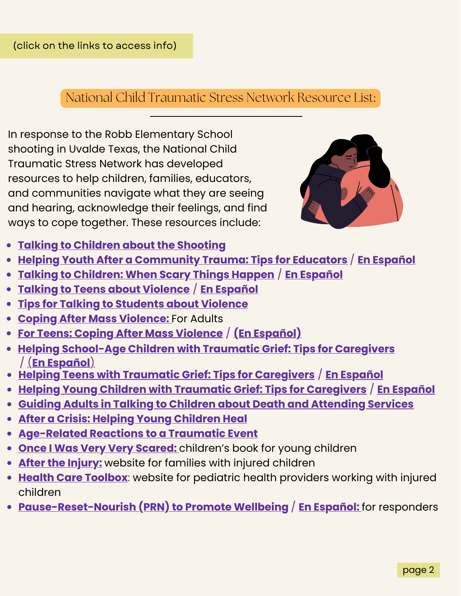### National Child Traumatic Stress Network Resource List:

In response to the Robb Elementary School shooting in Uvalde Texas, the National Child Traumatic Stress Network has developed resources to help children, families, educators, and communities navigate what they are seeing and hearing, acknowledge their feelings, and find ways to cope together. These resources include:



- **Talking to Children about the [Shooting](https://www.nctsn.org/resources/talking-children-about-shooting)**
- **Helping Youth After a [Community](https://www.nctsn.org/resources/helping-youth-after-community-trauma-tips-educators) Trauma: Tips for Educators** / **En [Español](https://www.nctsn.org/resources/helping-youth-after-community-trauma-tips-educators-sp)**
- **Talking to [Children:](https://drive.google.com/file/d/1Mc8dsD-AYBupNgXeI97BrVmKvoGWQrgw/view) When Scary Things Happen** / **En [Español](https://drive.google.com/file/d/181pGktEIcnqxyRmQJuaBJ6d0Vjg5K-z6/view)**
- **Talking to Teens about [Violence](https://drive.google.com/file/d/1fnP6HTUyJO-sdRJ0bgYJ6V8UrSIWTjJv/view)** / **En [Español](https://ibsweb.colorado.edu/crw/wp-content/uploads/sites/7/2021/04/CRWS_Spanish_Talking-to-Teens_Violent-Events.pdf)**
- **Tips for Talking to [Students](https://drive.google.com/file/d/1DO7aqM23ad4Q5wWZyHR1ghFscQtWdALZ/view) about Violence**
- **Coping After Mass [Violence:](https://www.nctsn.org/resources/coping-after-mass-violence)** For [Adults](https://www.nctsn.org/resources/coping-after-mass-violence)
- **For Teens: Coping After Mass [Violence](https://www.nctsn.org/sites/default/files/resources/fact-sheet/for_teens_coping_after_mass_violence.pdf)** / **(En [Español\)](https://www.nctsn.org/resources/for-teens-coping-after-mass-violence-sp)**
- **Helping [School-Age](https://www.nctsn.org/resources/helping-school-age-children-traumatic-grief-tips-caregivers) Children with Traumatic Grief: Tips for Caregivers** / [\(](https://www.nctsn.org/resources/helping-school-age-children-traumatic-grief-tips-caregivers-sp)**En [Español](https://www.nctsn.org/resources/helping-school-age-children-traumatic-grief-tips-caregivers-sp)**[\)](https://www.nctsn.org/resources/helping-school-age-children-traumatic-grief-tips-caregivers-sp)
- **Helping Teens with Traumatic Grief: Tips for [Caregivers](https://www.nctsn.org/resources/helping-teens-traumatic-grief-tips-caregivers)** / **En [Español](https://www.nctsn.org/sites/default/files/resources/tip-sheet/helping-teens-with-traumatic-grief-for-caregivers-sp.pdf)**
- **Helping Young Children with Traumatic Grief: Tips for [Caregivers](https://www.nctsn.org/resources/helping-young-children-traumatic-grief-tips-caregivers)** / **En [Español](https://www.nctsn.org/resources/helping-young-children-traumatic-grief-tips-caregivers-sp)**
- **Guiding Adults in Talking to Children about Death and [Attending](https://www.nctsn.org/resources/guiding-adults-talking-children-about-death-and-attending-services) Services**
- **After a Crisis: Helping Young [Children](https://www.nctsn.org/resources/after-crisis-helping-young-children-heal) Heal**
- **[Age-Related](https://www.nctsn.org/resources/age-related-reactions-traumatic-event) Reactions to a Traumatic Event**
- **Once I Was Very Very [Scared:](https://piploproductions.com/stories/once/)** children's book for young children
- **After the [Injury:](https://www.aftertheinjury.org/)** website for families with injured children
- **Health Care [Toolbox](https://www.healthcaretoolbox.org/)**: website for pediatric health providers working with injured children
- **[Pause-Reset-Nourish](https://www.nctsn.org/resources/prn-to-promote-wellbeing-as-needed-to-care-for-your-wellness) (PRN) to Promote Wellbeing** / **En [Español:](https://www.nctsn.org/resources/prn-to-promote-wellbeing-as-needed-to-care-for-your-wellness-sp)** for responders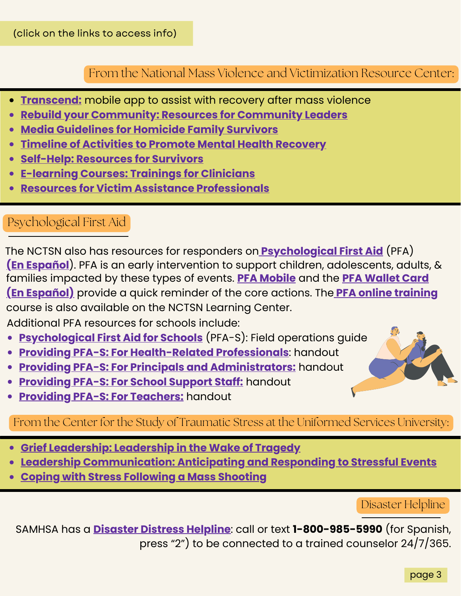#### From the National Mass Violence and Victimization Resource Center:

- **[Transcend:](https://apps.apple.com/us/app/transcend-nmvc/id1504741131)** mobile app to assist with recovery after mass violence
- **Rebuild your [Community:](https://www.nmvvrc.org/community-leaders/rebuild-your-community/) Resources for Community Leaders**
- **Media [Guidelines](https://www.nmvvrc.org/media/a4ncwv0g/mvi_media_ts5.pdf) for Homicide Family Survivors**
- **Timeline of [Activities](https://www.nmvvrc.org/media/1jlfjdl1/tipsheet26.pdf) to Promote Mental Health Recovery**
- **Self-Help: [Resources](https://www.nmvvrc.org/survivors/self-help/) for Survivors**
- **[E-learning](https://www.nmvvrc.org/vsps-clinicians/online-clinical-trainings/) Courses: Trainings for Clinicians**
- **Resources for Victim Assistance [Professionals](https://www.nmvvrc.org/vsps-clinicians/vsp-resources/)**

#### Psychological First Aid

families impacted by these types of events[.](https://www.nctsn.org/resources/pfa-mobile) **PFA [Mobile](https://www.nctsn.org/resources/pfa-mobile)** and the **PFA [Wallet](https://www.nctsn.org/resources/psychological-first-aid-pfa-wallet-card) Card (En [Español\)](https://www.nctsn.org/resources/psychological-first-aid-pfa-wallet-card-sp)** provide a quick reminder of the core actions. The **PFA online [training](https://www.nctsn.org/resources/psychological-first-aid-pfa-online)** course is also available on the NCTSN Learning Center. **(En [Español](https://www.nctsn.org/resources/primeros-auxilios-psicologicos-guia-de-operaciones-practicas-2da-edicion)**). PFA is an early intervention to support children, adolescents, adults, & The NCTSN also has resources for responders on **[Psychological](https://www.nctsn.org/resources/psychological-first-aid-pfa-field-operations-guide-2nd-edition) First Aid** (PFA)

Additional PFA resources for schools include:

- **[Psychological](https://www.nctsn.org/resources/psychological-first-aid-schools-pfa-s-field-operations-guide) First Aid for Schools** (PFA-S): Field [operations](https://www.nctsn.org/resources/helping-school-age-children-traumatic-grief-tips-caregivers) guide
- **Providing PFA-S: For [Health-Related](https://www.nctsn.org/resources/providing-psychological-first-aid-health-related-professionals) Professionals**: handout
- **Providing PFA-S: For Principals and [Administrators:](https://www.nctsn.org/resources/providing-psychological-first-aid-principals-and-administrators)** handout
- **[Providing](https://www.nctsn.org/resources/providing-psychological-first-aid-support-staff) PFA-S: For School Support Staff:** handout
- **Providing PFA-S: For [Teachers:](https://www.nctsn.org/resources/providing-psychological-first-aid-teachers)** handout

From the Center for the Study of Traumatic Stress at the Uniformed Services University:

- **Grief [Leadership:](https://www.cstsonline.org/resources/resource-master-list/grief-leadership-leadership-in-the-wake-of-tragedy) Leadership in the Wake of Tragedy**
- **Leadership [Communication:](https://www.cstsonline.org/resources/resource-master-list/leadership-communication-anticipating-responding-stressful-events) Anticipating and Responding to Stressful Events**
- **Coping with Stress [Following](https://www.cstsonline.org/assets/media/documents/CSTS_FS_Coping_with_Stress_Following_Mass_Shooting.pdf) a Mass Shooting**

#### Disaster Helpline

SAMHSA has a **[Disaster](https://www.samhsa.gov/find-help/disaster-distress-helpline) Distress Helpline**: call or text **1-800-985-5990** (for Spanish, press "2") to be connected to a trained counselor 24/7/365.